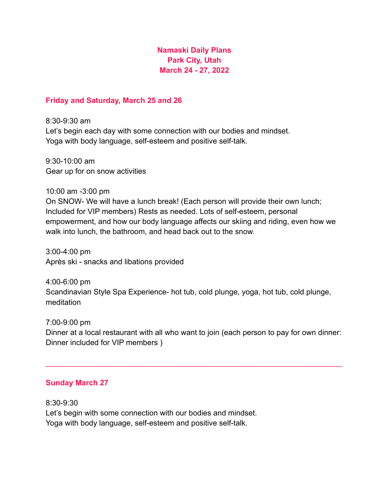## **Namaski Daily Plans Park City, Utah March 24 - 27, 2022**

## **Friday and Saturday, March 25 and 26**

8:30-9:30 am Let's begin each day with some connection with our bodies and mindset. Yoga with body language, self-esteem and positive self-talk.

9:30-10:00 am Gear up for on snow activities

10:00 am -3:00 pm On SNOW- We will have a lunch break! (Each person will provide their own lunch; Included for VIP members) Rests as needed. Lots of self-esteem, personal empowerment, and how our body language affects our skiing and riding, even how we walk into lunch, the bathroom, and head back out to the snow.

3:00-4:00 pm Après ski - snacks and libations provided

4:00-6:00 pm Scandinavian Style Spa Experience- hot tub, cold plunge, yoga, hot tub, cold plunge, meditation

7:00-9:00 pm Dinner at a local restaurant with all who want to join (each person to pay for own dinner: Dinner included for VIP members )

 $\mathcal{L}_\text{max} = \mathcal{L}_\text{max} = \mathcal{L}_\text{max} = \mathcal{L}_\text{max} = \mathcal{L}_\text{max} = \mathcal{L}_\text{max} = \mathcal{L}_\text{max} = \mathcal{L}_\text{max} = \mathcal{L}_\text{max} = \mathcal{L}_\text{max} = \mathcal{L}_\text{max} = \mathcal{L}_\text{max} = \mathcal{L}_\text{max} = \mathcal{L}_\text{max} = \mathcal{L}_\text{max} = \mathcal{L}_\text{max} = \mathcal{L}_\text{max} = \mathcal{L}_\text{max} = \mathcal{$ 

## **Sunday March 27**

8:30-9:30 Let's begin with some connection with our bodies and mindset. Yoga with body language, self-esteem and positive self-talk.